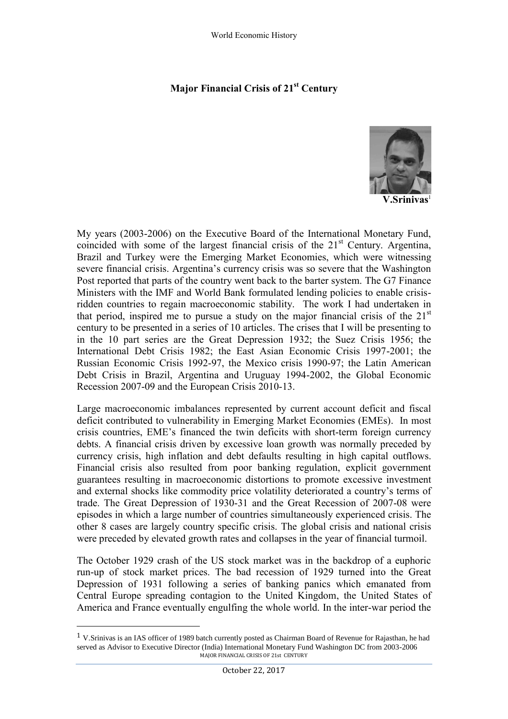## **Major Financial Crisis of 21st Century**



**V.Srinivas**<sup>1</sup>

My years (2003-2006) on the Executive Board of the International Monetary Fund, coincided with some of the largest financial crisis of the  $21<sup>st</sup>$  Century. Argentina, Brazil and Turkey were the Emerging Market Economies, which were witnessing severe financial crisis. Argentina's currency crisis was so severe that the Washington Post reported that parts of the country went back to the barter system. The G7 Finance Ministers with the IMF and World Bank formulated lending policies to enable crisisridden countries to regain macroeconomic stability. The work I had undertaken in that period, inspired me to pursue a study on the major financial crisis of the  $21<sup>st</sup>$ century to be presented in a series of 10 articles. The crises that I will be presenting to in the 10 part series are the Great Depression 1932; the Suez Crisis 1956; the International Debt Crisis 1982; the East Asian Economic Crisis 1997-2001; the Russian Economic Crisis 1992-97, the Mexico crisis 1990-97; the Latin American Debt Crisis in Brazil, Argentina and Uruguay 1994-2002, the Global Economic Recession 2007-09 and the European Crisis 2010-13.

Large macroeconomic imbalances represented by current account deficit and fiscal deficit contributed to vulnerability in Emerging Market Economies (EMEs). In most crisis countries, EME's financed the twin deficits with short-term foreign currency debts. A financial crisis driven by excessive loan growth was normally preceded by currency crisis, high inflation and debt defaults resulting in high capital outflows. Financial crisis also resulted from poor banking regulation, explicit government guarantees resulting in macroeconomic distortions to promote excessive investment and external shocks like commodity price volatility deteriorated a country's terms of trade. The Great Depression of 1930-31 and the Great Recession of 2007-08 were episodes in which a large number of countries simultaneously experienced crisis. The other 8 cases are largely country specific crisis. The global crisis and national crisis were preceded by elevated growth rates and collapses in the year of financial turmoil.

The October 1929 crash of the US stock market was in the backdrop of a euphoric run-up of stock market prices. The bad recession of 1929 turned into the Great Depression of 1931 following a series of banking panics which emanated from Central Europe spreading contagion to the United Kingdom, the United States of America and France eventually engulfing the whole world. In the inter-war period the

 $\overline{a}$ 

MAJOR FINANCIAL CRISIS OF 21st CENTURY 1 V.Srinivas is an IAS officer of 1989 batch currently posted as Chairman Board of Revenue for Rajasthan, he had served as Advisor to Executive Director (India) International Monetary Fund Washington DC from 2003-2006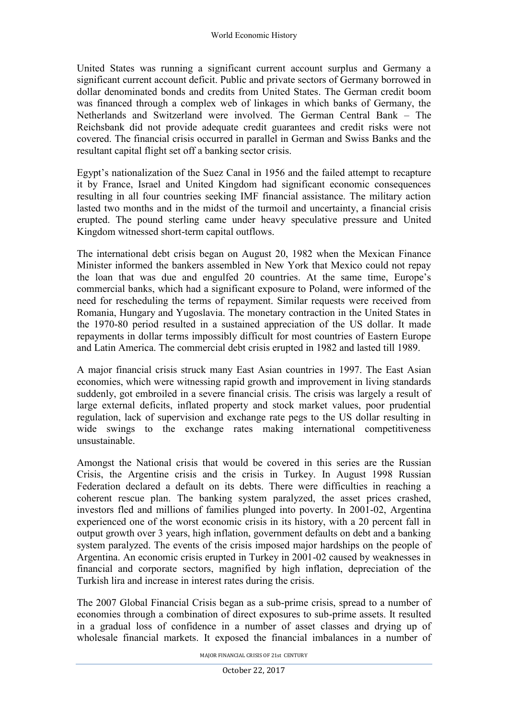United States was running a significant current account surplus and Germany a significant current account deficit. Public and private sectors of Germany borrowed in dollar denominated bonds and credits from United States. The German credit boom was financed through a complex web of linkages in which banks of Germany, the Netherlands and Switzerland were involved. The German Central Bank – The Reichsbank did not provide adequate credit guarantees and credit risks were not covered. The financial crisis occurred in parallel in German and Swiss Banks and the resultant capital flight set off a banking sector crisis.

Egypt's nationalization of the Suez Canal in 1956 and the failed attempt to recapture it by France, Israel and United Kingdom had significant economic consequences resulting in all four countries seeking IMF financial assistance. The military action lasted two months and in the midst of the turmoil and uncertainty, a financial crisis erupted. The pound sterling came under heavy speculative pressure and United Kingdom witnessed short-term capital outflows.

The international debt crisis began on August 20, 1982 when the Mexican Finance Minister informed the bankers assembled in New York that Mexico could not repay the loan that was due and engulfed 20 countries. At the same time, Europe's commercial banks, which had a significant exposure to Poland, were informed of the need for rescheduling the terms of repayment. Similar requests were received from Romania, Hungary and Yugoslavia. The monetary contraction in the United States in the 1970-80 period resulted in a sustained appreciation of the US dollar. It made repayments in dollar terms impossibly difficult for most countries of Eastern Europe and Latin America. The commercial debt crisis erupted in 1982 and lasted till 1989.

A major financial crisis struck many East Asian countries in 1997. The East Asian economies, which were witnessing rapid growth and improvement in living standards suddenly, got embroiled in a severe financial crisis. The crisis was largely a result of large external deficits, inflated property and stock market values, poor prudential regulation, lack of supervision and exchange rate pegs to the US dollar resulting in wide swings to the exchange rates making international competitiveness unsustainable.

Amongst the National crisis that would be covered in this series are the Russian Crisis, the Argentine crisis and the crisis in Turkey. In August 1998 Russian Federation declared a default on its debts. There were difficulties in reaching a coherent rescue plan. The banking system paralyzed, the asset prices crashed, investors fled and millions of families plunged into poverty. In 2001-02, Argentina experienced one of the worst economic crisis in its history, with a 20 percent fall in output growth over 3 years, high inflation, government defaults on debt and a banking system paralyzed. The events of the crisis imposed major hardships on the people of Argentina. An economic crisis erupted in Turkey in 2001-02 caused by weaknesses in financial and corporate sectors, magnified by high inflation, depreciation of the Turkish lira and increase in interest rates during the crisis.

The 2007 Global Financial Crisis began as a sub-prime crisis, spread to a number of economies through a combination of direct exposures to sub-prime assets. It resulted in a gradual loss of confidence in a number of asset classes and drying up of wholesale financial markets. It exposed the financial imbalances in a number of